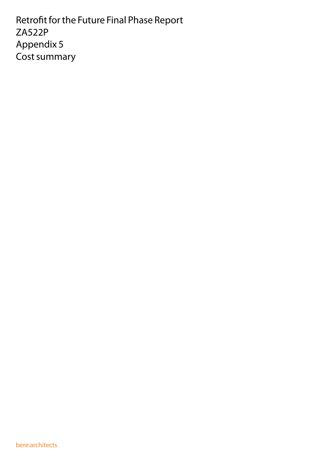Retrofit for the Future Final Phase Report ZA522P Appendix 5 Cost summary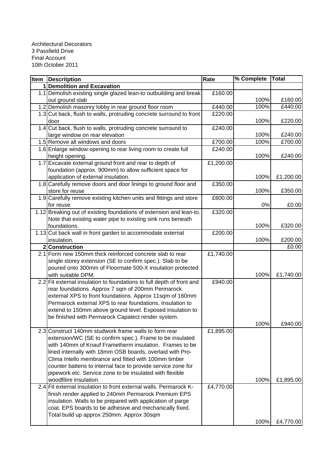| <b>Item Descritption</b>                                              | Rate      | % Complete | Total     |
|-----------------------------------------------------------------------|-----------|------------|-----------|
| <b>Demolition and Excavation</b>                                      |           |            |           |
| 1.1 Demolish existing single glazed lean-to outbuilding and break     | £160.00   |            |           |
| out ground slab                                                       |           | 100%       | £160.00   |
| 1.2 Demolish masonry lobby in rear ground floor room                  | £440.00   | 100%       | £440.00   |
| 1.3 Cut back, flush to walls, protruding concrete surround to front   | £220.00   |            |           |
| door                                                                  |           | 100%       | £220.00   |
| 1.4 Cut back, flush to walls, protruding concrete surround to         | £240.00   |            |           |
| large window on rear elevation                                        |           | 100%       | £240.00   |
| 1.5 Remove all windows and doors                                      | £700.00   | 100%       | £700.00   |
| 1.6 Enlarge window opening to rear living room to create full         | £240.00   |            |           |
| height opening.                                                       |           | 100%       | £240.00   |
| 1.7 Excavate external ground front and rear to depth of               | £1,200.00 |            |           |
| foundation (approx. 900mm) to allow sufficient space for              |           |            |           |
| application of external insulation.                                   |           | 100%       | £1,200.00 |
| 1.8 Carefully remove doors and door linings to ground floor and       | £350.00   |            |           |
| store for reuse                                                       |           | 100%       | £350.00   |
| 1.9 Carefully remove existing kitchen units and fittings and store    | £600.00   |            |           |
| for reuse                                                             |           | 0%         | £0.00     |
| 1.12 Breaking out of existing foundations of extension and lean-to.   | £320.00   |            |           |
| Note that existing water pipe to existing sink runs beneath           |           |            |           |
| foundations.                                                          |           | 100%       | £320.00   |
| 1.13 Cut back wall in front garden to accommodate external            | £200.00   |            |           |
| insulation.                                                           |           | 100%       | £200.00   |
| 2 Construction                                                        |           |            | £0.00     |
| 2.1 Form new 150mm thick reinforced concrete slab to rear             | £1,740.00 |            |           |
| single storey extension (SE to confirm spec.). Slab to be             |           |            |           |
| poured onto 300mm of Floormate 500-X insulation protected             |           |            |           |
| with suitable DPM.                                                    |           | 100%       | £1,740.00 |
| 2.2 Fit external insulation to foundations to full depth of front and | £940.00   |            |           |
| rear foundations. Approx 7 sqm of 200mm Permarock                     |           |            |           |
| external XPS to front foundations. Approx 11sqm of 160mm              |           |            |           |
| Permarock external XPS to rear foundations. Insulation to             |           |            |           |
| extend to 150mm above ground level. Exposed insulation to             |           |            |           |
| be finished with Permarock Capatect render system.                    |           |            |           |
|                                                                       |           | 100%       | £940.00   |
| 2.3 Construct 140mm studwork frame walls to form rear                 | £1,895.00 |            |           |
| extension/WC (SE to confirm spec.). Frame to be insulated             |           |            |           |
| with 140mm of Knauf Frametherm insulation. Frames to be               |           |            |           |
| lined internally with 18mm OSB boards, overlaid with Pro-             |           |            |           |
| Clima Intello membrance and fitted with 100mm timber                  |           |            |           |
| counter battens to internal face to provide service zone for          |           |            |           |
| pipework etc. Service zone to be insulated with flexible              |           |            |           |
| woodfibre insulation.                                                 |           | 100%       | £1,895.00 |
| 2.4 Fit external insulation to front external walls. Permarock K-     | £4,770.00 |            |           |
| finish render applied to 240mm Permarock Premium EPS                  |           |            |           |
| insulation. Walls to be prepared with application of parge            |           |            |           |
| coat. EPS boards to be adhesive and mechanically fixed.               |           |            |           |
| Total build up approx 250mm. Approx 30sqm                             |           |            |           |
|                                                                       |           | 100%       | £4,770.00 |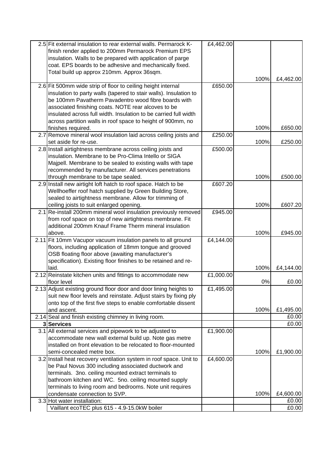|     | 2.5 Fit external insulation to rear external walls. Permarock K-              | £4,462.00 |      |                    |
|-----|-------------------------------------------------------------------------------|-----------|------|--------------------|
|     | finish render applied to 200mm Permarock Premium EPS                          |           |      |                    |
|     | insulation. Walls to be prepared with application of parge                    |           |      |                    |
|     | coat. EPS boards to be adhesive and mechanically fixed.                       |           |      |                    |
|     | Total build up approx 210mm. Approx 36sqm.                                    |           |      |                    |
|     |                                                                               |           | 100% | £4,462.00          |
|     | 2.6 Fit 500mm wide strip of floor to ceiling height internal                  | £650.00   |      |                    |
|     | insulation to party walls (tapered to stair walls). Insulation to             |           |      |                    |
|     | be 100mm Pavatherm Pavadentro wood fibre boards with                          |           |      |                    |
|     | associated finishing coats. NOTE rear alcoves to be                           |           |      |                    |
|     | insulated across full width. Insulation to be carried full width              |           |      |                    |
|     | across partition walls in roof space to height of 900mm, no                   |           |      |                    |
|     | finishes required.                                                            |           | 100% | £650.00            |
|     | 2.7 Remove mineral wool insulation laid across ceiling joists and             | £250.00   |      |                    |
|     | set aside for re-use.                                                         |           | 100% | £250.00            |
|     | 2.8 Install airtightness membrane across ceiling joists and                   | £500.00   |      |                    |
|     | insulation. Membrane to be Pro-Clima Intello or SIGA                          |           |      |                    |
|     | Majpell. Membrane to be sealed to existing walls with tape                    |           |      |                    |
|     | recommended by manufacturer. All services penetrations                        |           |      |                    |
|     | through membrane to be tape sealed.                                           |           | 100% | £500.00            |
|     | 2.9 Install new airtight loft hatch to roof space. Hatch to be                | £607.20   |      |                    |
|     | Wellhoeffer roof hatch supplied by Green Building Store,                      |           |      |                    |
|     | sealed to airtightness membrane. Allow for trimming of                        |           |      |                    |
|     | ceiling joists to suit enlarged opening.                                      |           | 100% | £607.20            |
| 2.1 | Re-install 200mm mineral wool insulation previously removed                   | £945.00   |      |                    |
|     | from roof space on top of new airtightness membrane. Fit                      |           |      |                    |
|     | additional 200mm Knauf Frame Therm mineral insulation                         |           |      |                    |
|     | above.                                                                        |           | 100% | £945.00            |
|     | 2.11 Fit 10mm Vacupor vacuum insulation panels to all ground                  | £4,144.00 |      |                    |
|     | floors, including application of 18mm tongue and grooved                      |           |      |                    |
|     | OSB floating floor above (awaiting manufacturer's                             |           |      |                    |
|     | specification). Existing floor finishes to be retained and re-                |           |      |                    |
|     | laid.                                                                         |           | 100% | £4,144.00          |
|     | 2.12 Reinstate kitchen units and fittings to accommodate new                  | £1,000.00 |      |                    |
|     | floor level                                                                   |           | 0%   | £0.00              |
|     | 2.13 Adjust existing ground floor door and door lining heights to             | £1,495.00 |      |                    |
|     | suit new floor levels and reinstate. Adjust stairs by fixing ply              |           |      |                    |
|     | onto top of the first five steps to enable comfortable dissent<br>and ascent. |           | 100% |                    |
|     | 2.14 Seal and finish existing chimney in living room.                         |           |      | £1,495.00<br>£0.00 |
|     | 3 Services                                                                    |           |      | £0.00              |
|     | 3.1 All external services and pipework to be adjusted to                      | £1,900.00 |      |                    |
|     | accommodate new wall external build up. Note gas metre                        |           |      |                    |
|     | installed on front elevation to be relocated to floor-mounted                 |           |      |                    |
|     | semi-concealed metre box.                                                     |           | 100% | £1,900.00          |
|     | 3.2 Install heat recovery ventilation system in roof space. Unit to           | £4,600.00 |      |                    |
|     | be Paul Novus 300 including associated ductwork and                           |           |      |                    |
|     | terminals. 3no. ceiling mounted extract terminals to                          |           |      |                    |
|     | bathroom kitchen and WC. 5no. ceiling mounted supply                          |           |      |                    |
|     | terminals to living room and bedrooms. Note unit requires                     |           |      |                    |
|     | condensate connection to SVP.                                                 |           | 100% | £4,600.00          |
|     | 3.3 Hot water installation:                                                   |           |      | £0.00              |
|     | Vaillant ecoTEC plus 615 - 4.9-15.0kW boiler                                  |           |      | £0.00              |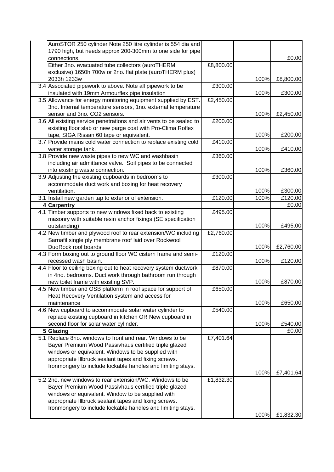|     | AuroSTOR 250 cylinder Note 250 litre cylinder is 554 dia and        |           |      |           |
|-----|---------------------------------------------------------------------|-----------|------|-----------|
|     | 1790 high, but needs approx 200-300mm to one side for pipe          |           |      |           |
|     | connections.                                                        |           |      | £0.00     |
|     | Either 3no. evacuated tube collectors (auroTHERM                    | £8,800.00 |      |           |
|     | exclusive) 1650h 700w or 2no. flat plate (auroTHERM plus)           |           |      |           |
|     | 2033h 1233w                                                         |           | 100% | £8,800.00 |
|     | 3.4 Associated pipework to above. Note all pipework to be           | £300.00   |      |           |
|     | insulated with 19mm Armourflex pipe insulation                      |           | 100% | £300.00   |
|     | 3.5 Allowance for energy monitoring equipment supplied by EST.      | £2,450.00 |      |           |
|     | 3no. Internal temperature sensors, 1no. external temperature        |           |      |           |
|     | sensor and 3no. CO2 sensors.                                        |           | 100% | £2,450.00 |
|     | 3.6 All existing service penetrations and air vents to be sealed to | £200.00   |      |           |
|     | existing floor slab or new parge coat with Pro-Clima Roflex         |           |      |           |
|     | tape, SIGA Rissan 60 tape or equivalent.                            |           | 100% | £200.00   |
|     | 3.7 Provide mains cold water connection to replace existing cold    | £410.00   |      |           |
|     |                                                                     |           |      |           |
|     | water storage tank.                                                 |           | 100% | £410.00   |
|     | 3.8 Provide new waste pipes to new WC and washbasin                 | £360.00   |      |           |
|     | including air admittance valve. Soil pipes to be connected          |           |      |           |
|     | into existing waste connection.                                     |           | 100% | £360.00   |
|     | 3.9 Adjusting the existing cupboards in bedrooms to                 | £300.00   |      |           |
|     | accommodate duct work and boxing for heat recovery                  |           |      |           |
|     | ventilation.                                                        |           | 100% | £300.00   |
|     | 3.1 Install new garden tap to exterior of extension.                | £120.00   | 100% | £120.00   |
|     | 4 Carpentry                                                         |           |      | £0.00     |
| 4.1 | Timber supports to new windows fixed back to existing               | £495.00   |      |           |
|     | masonry with suitable resin anchor fixings (SE specification        |           |      |           |
|     | outstanding)                                                        |           | 100% | £495.00   |
|     | 4.2 New timber and plywood roof to rear extension/WC including      | £2,760.00 |      |           |
|     | Sarnafil single ply membrane roof laid over Rockwool                |           |      |           |
|     | DuoRock roof boards                                                 |           | 100% | £2,760.00 |
|     | 4.3 Form boxing out to ground floor WC cistern frame and semi-      | £120.00   |      |           |
|     | recessed wash basin.                                                |           | 100% | £120.00   |
|     | 4.4 Floor to ceiling boxing out to heat recovery system ductwork    | £870.00   |      |           |
|     | in 4no. bedrooms. Duct work through bathroom run through            |           |      |           |
|     | new toilet frame with existing SVP.                                 |           | 100% | £870.00   |
|     | 4.5 New timber and OSB platform in roof space for support of        | £650.00   |      |           |
|     | Heat Recovery Ventilation system and access for                     |           |      |           |
|     | maintenance                                                         |           | 100% | £650.00   |
|     |                                                                     |           |      |           |
|     | 4.6 New cupboard to accommodate solar water cylinder to             | £540.00   |      |           |
|     | replace existing cupboard in kitchen OR New cupboard in             |           |      |           |
|     | second floor for solar water cylinder.                              |           | 100% | £540.00   |
|     | 5 Glazing                                                           |           |      | £0.00     |
|     | 5.1 Replace 8no. windows to front and rear. Windows to be           | £7,401.64 |      |           |
|     | Bayer Premium Wood Passivhaus certified triple glazed               |           |      |           |
|     | windows or equivalent. Windows to be supplied with                  |           |      |           |
|     | appropriate Illbruck sealant tapes and fixing screws.               |           |      |           |
|     | Ironmongery to include lockable handles and limiting stays.         |           |      |           |
|     |                                                                     |           | 100% | £7,401.64 |
|     | 5.2 2no. new windows to rear extension/WC. Windows to be            | £1,832.30 |      |           |
|     | Bayer Premium Wood Passivhaus certified triple glazed               |           |      |           |
|     | windows or equivalent. Window to be supplied with                   |           |      |           |
|     | appropriate Illbruck sealant tapes and fixing screws.               |           |      |           |
|     | Ironmongery to include lockable handles and limiting stays.         |           |      |           |
|     |                                                                     |           | 100% | £1,832.30 |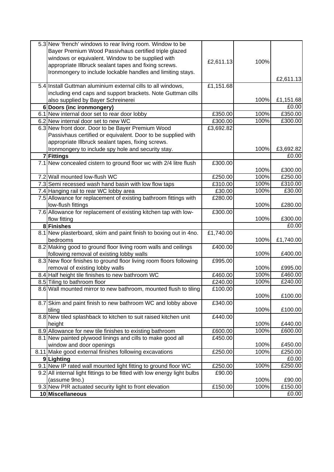|   | 5.3 New 'french' windows to rear living room. Window to be<br>Bayer Premium Wood Passivhaus certified triple glazed |           |      |                             |
|---|---------------------------------------------------------------------------------------------------------------------|-----------|------|-----------------------------|
|   | windows or equivalent. Window to be supplied with                                                                   |           |      |                             |
|   | appropriate Illbruck sealant tapes and fixing screws.                                                               | £2,611.13 | 100% |                             |
|   | Ironmongery to include lockable handles and limiting stays.                                                         |           |      |                             |
|   |                                                                                                                     |           |      | £2,611.13                   |
|   | 5.4 Install Guttman aluminium external cills to all windows,                                                        | £1,151.68 |      |                             |
|   | including end caps and support brackets. Note Guttman cills                                                         |           |      |                             |
|   | also supplied by Bayer Schreinerei                                                                                  |           | 100% | £1,151.68                   |
| 6 | Doors (inc ironmongery)                                                                                             |           |      | £0.00                       |
|   | 6.1 New internal door set to rear door lobby                                                                        | £350.00   | 100% | £350.00                     |
|   | 6.2 New internal door set to new WC                                                                                 | £300.00   | 100% | £300.00                     |
|   | 6.3 New front door. Door to be Bayer Premium Wood                                                                   | £3,692.82 |      |                             |
|   | Passivhaus certified or equivalent. Door to be supplied with                                                        |           |      |                             |
|   | appropriate Illbruck sealant tapes, fixing screws.                                                                  |           |      |                             |
|   | Ironmongery to include spy hole and security stay.                                                                  |           | 100% | £3,692.82                   |
|   | 7 Fittings                                                                                                          |           |      | £0.00                       |
|   | 7.1 New concealed cistern to ground floor wc with 2/4 litre flush                                                   | £300.00   |      |                             |
|   |                                                                                                                     |           | 100% | £300.00                     |
|   | 7.2 Wall mounted low-flush WC                                                                                       | £250.00   | 100% | $\overline{\text{£}}250.00$ |
|   | 7.3 Semi recessed wash hand basin with low flow taps                                                                | £310.00   | 100% | £310.00                     |
|   | 7.4 Hanging rail to rear WC lobby area                                                                              | £30.00    | 100% | £30.00                      |
|   | 7.5 Allowance for replacement of existing bathroom fittings with                                                    | £280.00   | 100% | £280.00                     |
|   | low-flush fittings<br>7.6 Allowance for replacement of existing kitchen tap with low-                               |           |      |                             |
|   | flow fitting                                                                                                        | £300.00   | 100% | £300.00                     |
|   | 8 Finishes                                                                                                          |           |      | £0.00                       |
|   | 8.1 New plasterboard, skim and paint finish to boxing out in 4no.                                                   | £1,740.00 |      |                             |
|   | bedrooms                                                                                                            |           | 100% | £1,740.00                   |
|   | 8.2 Making good to ground floor living room walls and ceilings                                                      | £400.00   |      |                             |
|   | following removal of existing lobby walls                                                                           |           | 100% | £400.00                     |
|   | 8.3 New floor finishes to ground floor living room floors following                                                 | £995.00   |      |                             |
|   | removal of existing lobby walls                                                                                     |           | 100% | £995.00                     |
|   | 8.4 Half height tile finishes to new bathroom WC                                                                    | £460.00   | 100% | £460.00                     |
|   | 8.5 Tiling to bathroom floor                                                                                        | £240.00   | 100% | £240.00                     |
|   | 8.6 Wall mounted mirror to new bathroom, mounted flush to tiling                                                    | £100.00   |      |                             |
|   |                                                                                                                     |           | 100% | £100.00                     |
|   | 8.7 Skim and paint finish to new bathroom WC and lobby above                                                        | £340.00   |      |                             |
|   | tiling                                                                                                              |           | 100% | £100.00                     |
|   | 8.8 New tiled splashback to kitchen to suit raised kitchen unit                                                     | £440.00   |      |                             |
|   | height                                                                                                              |           | 100% | £440.00                     |
|   | 8.9 Allowance for new tile finishes to existing bathroom                                                            | £600.00   | 100% | £600.00                     |
|   | 8.1 New painted plywood linings and cills to make good all                                                          | £450.00   |      |                             |
|   | window and door openings                                                                                            |           | 100% | £450.00                     |
|   | 8.11 Make good external finishes following excavations                                                              | £250.00   | 100% | £250.00                     |
|   | 9Lighting                                                                                                           |           |      | £0.00                       |
|   | 9.1 New IP rated wall mounted light fitting to ground floor WC                                                      | £250.00   | 100% | £250.00                     |
|   | 9.2 All internal light fittings to be fitted with low energy light bulbs                                            | £90.00    |      |                             |
|   | (assume 9no.)                                                                                                       |           | 100% | £90.00                      |
|   | 9.3 New PIR actuated security light to front elevation                                                              | £150.00   | 100% | £150.00                     |
|   | 10 Miscellaneous                                                                                                    |           |      | £0.00                       |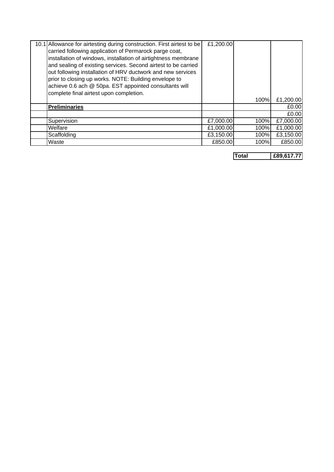| 10.1 Allowance for airtesting during construction. First airtest to be | £1,200.00 |      |           |
|------------------------------------------------------------------------|-----------|------|-----------|
| carried following application of Permarock parge coat,                 |           |      |           |
| installation of windows, installation of airtightness membrane         |           |      |           |
| and sealing of existing services. Second airtest to be carried         |           |      |           |
| out following installation of HRV ductwork and new services            |           |      |           |
| prior to closing up works. NOTE: Building envelope to                  |           |      |           |
| achieve 0.6 ach @ 50pa. EST appointed consultants will                 |           |      |           |
| complete final airtest upon completion.                                |           |      |           |
|                                                                        |           | 100% | £1,200.00 |
| <b>Preliminaries</b>                                                   |           |      | £0.00     |
|                                                                        |           |      | £0.00     |
| Supervision                                                            | £7,000.00 | 100% | £7,000.00 |
| Welfare                                                                | £1,000.00 | 100% | £1,000.00 |
| Scaffolding                                                            | £3,150.00 | 100% | £3,150.00 |
| Waste                                                                  | £850.00   | 100% | £850.00   |

**Total £89,617.77**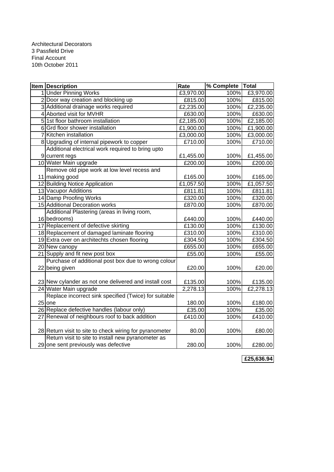| <b>Item Description</b>                                 | Rate      | % Complete Total |           |
|---------------------------------------------------------|-----------|------------------|-----------|
| 1 Under Pinning Works                                   | £3,970.00 | 100%             | £3,970.00 |
| 2 Door way creation and blocking up                     | E815.00   | 100%             | £815.00   |
| 3 Additional drainage works required                    | £2,235.00 | 100%             | £2,235.00 |
| 4 Aborted visit for MVHR                                | £630.00   | 100%             | £630.00   |
| 5 1st floor bathroom installation                       | £2,185.00 | 100%             | E2,185.00 |
| 6 Grd floor shower installation                         | £1,900.00 | 100%             | £1,900.00 |
| 7 Kitchen installation                                  | £3,000.00 | 100%             | E3,000.00 |
| 8 Upgrading of internal pipework to copper              | £710.00   | 100%             | £710.00   |
| Additional electrical work required to bring upto       |           |                  |           |
| 9 current regs                                          | £1,455.00 | 100%             | £1,455.00 |
| 10 Water Main upgrade                                   | £200.00   | 100%             | £200.00   |
| Remove old pipe work at low level recess and            |           |                  |           |
| 11 making good                                          | £165.00   | 100%             | £165.00   |
| 12 Building Notice Application                          | £1,057.50 | 100%             | £1,057.50 |
| 13 Vacupor Additions                                    | £811.81   | 100%             | £811.81   |
| 14 Damp Proofing Works                                  | £320.00   | 100%             | £320.00   |
| 15 Additional Decoration works                          | £870.00   | 100%             | £870.00   |
| Additional Plastering (areas in living room,            |           |                  |           |
| 16 bedrooms)                                            | £440.00   | 100%             | £440.00   |
| 17 Replacement of defective skirting                    | £130.00   | 100%             | £130.00   |
| 18 Replacement of damaged laminate flooring             | £310.00   | 100%             | £310.00   |
| 19 Extra over on architechts chosen flooring            | £304.50   | 100%             | £304.50   |
| 20 New canopy                                           | £655.00   | 100%             | £655.00   |
| 21 Supply and fit new post box                          | £55.00    | 100%             | £55.00    |
| Purchase of additional post box due to wrong colour     |           |                  |           |
| 22 being given                                          | £20.00    | 100%             | £20.00    |
|                                                         |           |                  |           |
| 23 New cylander as not one delivered and install cost   | £135.00   | 100%             | £135.00   |
| 24 Water Main upgrade                                   | 2,278.13  | 100%             | £2,278.13 |
| Replace incorrect sink specified (Twice) for suitable   |           |                  |           |
| $25$ one                                                | 180.00    | 100%             | £180.00   |
| 26 Replace defective handles (labour only)              | £35.00    | 100%             | £35.00    |
| 27 Renewal of neighbours roof to back addition          | £410.00   | 100%             | £410.00   |
|                                                         |           |                  |           |
| 28 Return visit to site to check wiring for pyranometer | 80.00     | 100%             | £80.00    |
| Return visit to site to install new pyranometer as      |           |                  |           |
| 29 one sent previously was defective                    | 280.00    | 100%             | £280.00   |

**£25,636.94**